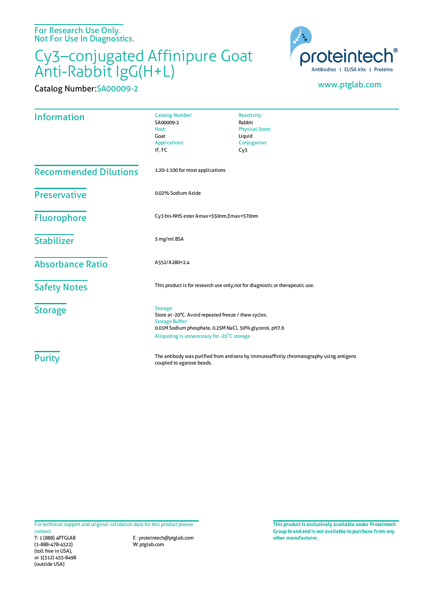For Research Use Only. Not For Use In Diagnostics.

## Cy3–conjugated Affinipure Goat Anti-Rabbit IgG(H+L)

Catalog Number:SA00009-2 www.ptglab.com



| <b>Information</b>           | <b>Catalog Number:</b><br>SA00009-2<br>Host:<br>Goat<br>Applications:<br>IF, FC                                                                                                                      | Reactivity:<br>Rabbit<br><b>Physical State:</b><br>Liquid<br>Conjugation:<br>Cy3 |
|------------------------------|------------------------------------------------------------------------------------------------------------------------------------------------------------------------------------------------------|----------------------------------------------------------------------------------|
| <b>Recommended Dilutions</b> | 1:20-1:100 for most applications                                                                                                                                                                     |                                                                                  |
| <b>Preservative</b>          | 0.02% Sodium Azide                                                                                                                                                                                   |                                                                                  |
| <b>Fluorophore</b>           | Cy3 bis-NHS ester Amax=550nm, Emax=570nm                                                                                                                                                             |                                                                                  |
| <b>Stabilizer</b>            | 5 mg/ml BSA                                                                                                                                                                                          |                                                                                  |
| <b>Absorbance Ratio</b>      | A552/A280=2.4                                                                                                                                                                                        |                                                                                  |
| <b>Safety Notes</b>          | This product is for research use only, not for diagnostic or therapeutic use.                                                                                                                        |                                                                                  |
| <b>Storage</b>               | Storage:<br>Store at -20°C. Avoid repeated freeze / thaw cycles.<br><b>Storage Buffer:</b><br>0.01M Sodium phosphate, 0.25M NaCl, 50% glycerol, pH7.6<br>Aliquoting is unnecessary for -20°C storage |                                                                                  |
| <b>Purity</b>                | The antibody was purified from antisera by immunoaffinity chromatography using antigens<br>coupled to agarose beads.                                                                                 |                                                                                  |

For technical support and original validation data for this product please

T: 1 (888) 4PTGLAB (1-888-478-4522) (toll free in USA), or 1(312) 455-8498 (outside USA) contact:

E : proteintech@ptglab.com W: ptglab.com

**This productis exclusively available under Proteintech Group brand and is not available to purchase from any other manufacturer.**